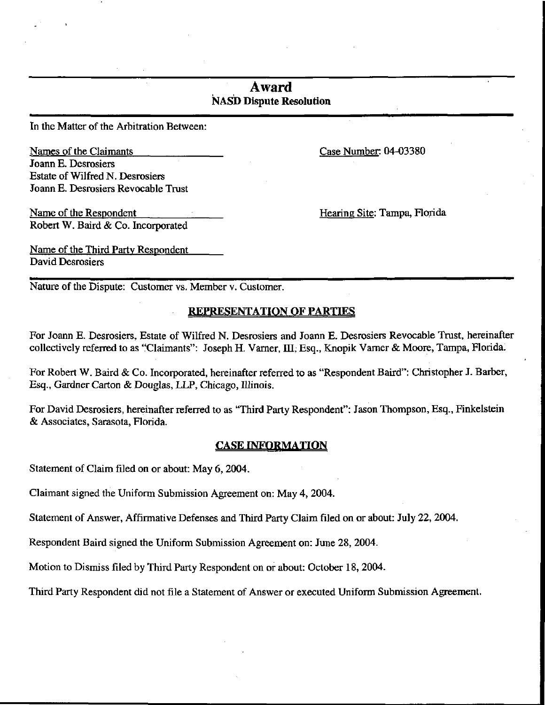# Award NASD Dispute Resolution

In the Matter of the Arbitration Between:

Names of the Claimants Case Number: 04-03380 Joann E. Desrosiers Estate of Wilfred N. Desrosiers Joann E. Desrosiers Revocable Trust

Name of the Respondent Hearing Site: Tampa, Florida Robert W. Baird & Co. Incorporated

Name of the Third Party Respondent David Desrosiers

Nature of the Dispute: Customer vs. Member v. Customer.

# REPRESENTATION OF PARTIES

For Joann E. Desrosiers, Estate of Wilfred N. Desrosiers and Joann E. Desrosiers Revocable Trust, hereinafter collectively referred to as "Claimants": Joseph H. Varner, HI, Esq., Knopik Varner & Moore, Tampa, Florida.

For Robert W. Baird & Co. Incorporated, hereinafter referred to as "Respondent Baird": Christopher J. Barber, Esq., Gardner Carton & Douglas, LLP, Chicago, Illinois.

For David Desrosiers, hereinafter referred to as "Third Party Respondent": Jason Thompson, Esq., Finkelstein & Associates, Sarasota, Florida.

## CASE INFORMATION

Statement of Claim filed on or about: May 6, 2004.

Claimant signed the Uniform Submission Agreement on: May 4, 2004.

Statement of Answer, Affirmative Defenses and Third Party Claim filed on or about: July 22, 2004.

Respondent Baird signed the Uniform Submission Agreement on: June 28, 2004.

Motion to Dismiss filed by Third Party Respondent on or about: October 18, 2004.

Third Party Respondent did not file a Statement of Answer or executed Uniform Submission Agreement.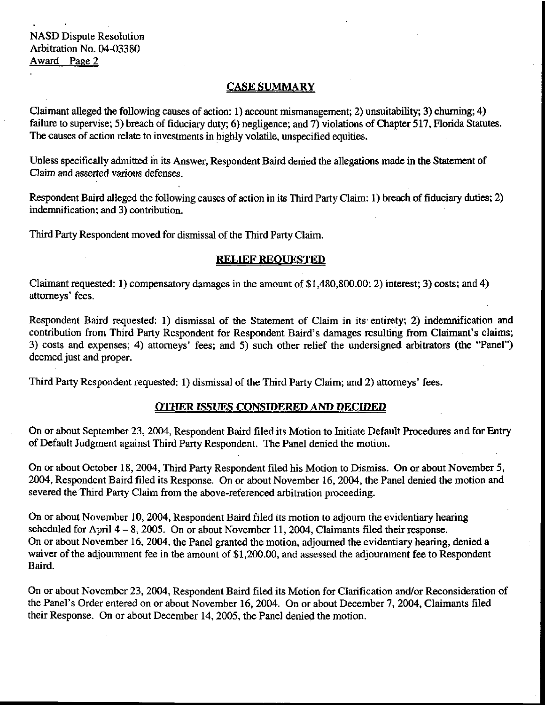## CASE SUMMARY

Claimant alleged the following causes of action: 1) account mismanagement; 2) unsuitability; 3) churning; 4) failure to supervise; 5) breach of fiduciary duty; 6) negligence; and 7) violations of Chapter 517, Florida Statutes. The causes of action relate to investments in highly volatile, unspecified equities.

Unless specifically admitted in its Answer, Respondent Baird denied the allegations made in the Statement of Claim and asserted various defenses.

Respondent Baird alleged the following causes of action in its Third Party Claim: 1) breach of fiduciary duties; 2) indemnification; and 3) contribution.

Third Party Respondent moved for dismissal of the Third Party Claim.

## RELIEF REQUESTED

Claimant requested: 1) compensatory damages in the amount of \$1,480,800.00; 2) interest; 3) costs; and 4) attorneys' fees.

Respondent Baird requested: 1) dismissal of the Statement of Claim in its-entirety; 2) indemnification and contribution from Third Party Respondent for Respondent Baird's damages resulting from Claimant's claims; 3) costs and expenses; 4) attorneys' fees; and 5) such other relief the undersigned arbitrators (the "Panel") deemed just and proper.

Third Party Respondent requested: 1) dismissal of the Third Party Claim; and 2) attorneys' fees.

## OTHER ISSUES CONSIDERED AND DECIDED

On or about September 23, 2004, Respondent Baird filed its Motion to Initiate Default Procedures and for Entry of Default Judgment against Third Party Respondent. The Panel denied the motion.

On or about October 18, 2004, Third Party Respondent filed his Motion to Dismiss. On or about November 5, 2004, Respondent Baird filed its Response. On or about November 16, 2004, the Panel denied the motion and severed the Third Party Claim from the above-referenced arbitration proceeding.

On or about November 10, 2004, Respondent Baird filed its motion to adjourn the evidentiary hearing scheduled for April  $4-8$ , 2005. On or about November 11, 2004, Claimants filed their response. On or about November 16, 2004, the Panel granted the motion, adjourned the evidentiary hearing, denied a waiver of the adjournment fee in the amount of \$1,200.00, and assessed the adjournment fee to Respondent Baird.

On or about November 23, 2004, Respondent Baird filed its Motion for Clarification and/or Reconsideration of the Panel's Order entered on or about November 16, 2004. On or about December 7, 2004, Claimants filed their Response. On or about December 14, 2005, the Panel denied the motion.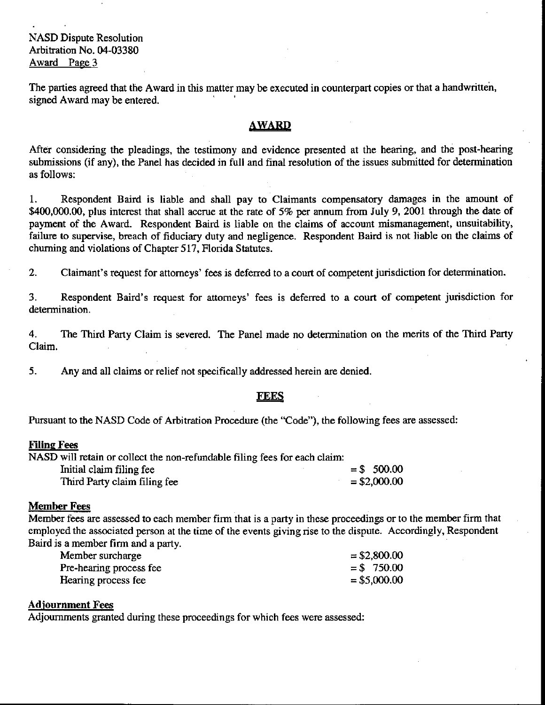The parties agreed that the Award in this matter may be executed in counterpart copies or that a handwritten, signed Award may be entered.

## AWARD

After considering the pleadings, the testimony and evidence presented at the hearing, and the post-hearing submissions (if any), the Panel has decided in full and final resolution of the issues submitted for determination as follows:

1. Respondent Baird is liable and shall pay to Claimants compensatory damages in the amount of \$400,000.00, plus interest that shall accrue at the rate of 5% per annum from July 9, 2001 through the date of payment of the Award. Respondent Baird is liable on the claims of account mismanagement, unsuitability, failure to supervise, breach of fiduciary duty and negligence. Respondent Baird is not liable on the claims of churning and violations of Chapter 517, Florida Statutes.

2. Claimant's request for attorneys' fees is deferred to a court of competent jurisdiction for determination.

3. Respondent Baird's request for attorneys' fees is deferred to a court of competent jurisdiction for determination.

4. The Third Party Claim is severed. The Panel made no determination on the merits of the Third Party Claim.

5. Any and all claims or relief not specifically addressed herein are denied.

### **FEES**

Pursuant to the NASD Code of Arbitration Procedure (the "Code"), the following fees are assessed:

#### Filing Fees

| NASD will retain or collect the non-refundable filing fees for each claim: |                |
|----------------------------------------------------------------------------|----------------|
| Initial claim filing fee                                                   | $=$ \$ 500.00  |
| Third Party claim filing fee                                               | $=$ \$2,000.00 |

#### Member Fees

Member fees are assessed to each member firm that is a party in these proceedings or to the member firm that employed the associated person at the time of the events giving rise to the dispute. Accordingly, Respondent Baird is a member firm and a party.

| Member surcharge        | $=$ \$2,800.00 |
|-------------------------|----------------|
| Pre-hearing process fee | $=$ \$750.00   |
| Hearing process fee     | $=$ \$5,000.00 |

### Adjournment Fees

Adjournments granted during these proceedings for which fees were assessed: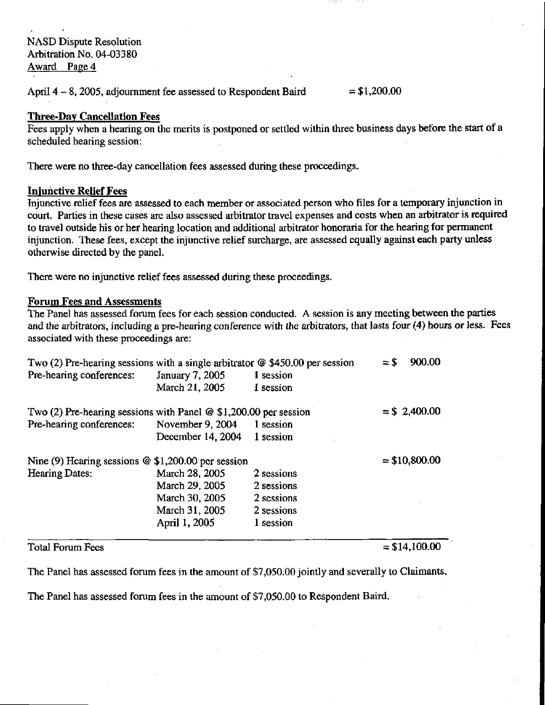April  $4-8$ , 2005, adjournment fee assessed to Respondent Baird  $= $1,200.00$ 

## Three-Day Cancellation Fees

Fees apply when a hearing on the merits is postponed or settled within three business days before the start of a scheduled hearing session:

There were no three-day cancellation fees assessed during these proceedings.

## Injuhctive Relief Fees

Injunctive relief fees are assessed to each member or associated person who files for a temporary injunction in court. Parties in these cases are also assessed arbitrator travel expenses and costs when an arbitrator is required to travel outside his or her hearing location and additional arbitrator honoraria for the hearing for permanent injunction. These fees, except the injunctive relief surcharge, are assessed equally against each party unless otherwise directed by the panel.

There were no injunctive relief fees assessed during these proceedings.

## Forum Fees and Assessments

The Panel has assessed forum fees for each session conducted. A session is any meeting between the parties and the arbitrators, including a pre-hearing conference with the arbitrators, that lasts four (4) hours or less. Fees associated with these proceedings are:

| Two (2) Pre-hearing sessions with a single arbitrator $\omega$ \$450.00 per session |                   |            | 900.00<br>$=$ \$ |
|-------------------------------------------------------------------------------------|-------------------|------------|------------------|
| Pre-hearing conferences:                                                            | January 7, 2005   | 1 session  |                  |
|                                                                                     | March 21, 2005    | 1 session  |                  |
| Two (2) Pre-hearing sessions with Panel $\omega$ \$1,200.00 per session             |                   |            | $=$ \$2,400.00   |
| Pre-hearing conferences:                                                            | November 9, 2004  | 1 session  |                  |
|                                                                                     | December 14, 2004 | 1 session  |                  |
| Nine (9) Hearing sessions $@$ \$1,200.00 per session                                |                   |            | $=$ \$10,800.00  |
| Hearing Dates:                                                                      | March 28, 2005    | 2 sessions |                  |
|                                                                                     | March 29, 2005    | 2 sessions |                  |
|                                                                                     | March 30, 2005    | 2 sessions |                  |
|                                                                                     | March 31, 2005    | 2 sessions |                  |
|                                                                                     | April 1, 2005     | 1 session  |                  |
|                                                                                     |                   |            |                  |

# Total Forum Fees  $= $14,100.00$

The Panel has assessed forum fees in the amount of \$7,050.00 jointly and severally to Claimants.

The Panel has assessed forum fees in the amount of \$7,050.00 to Respondent Baird.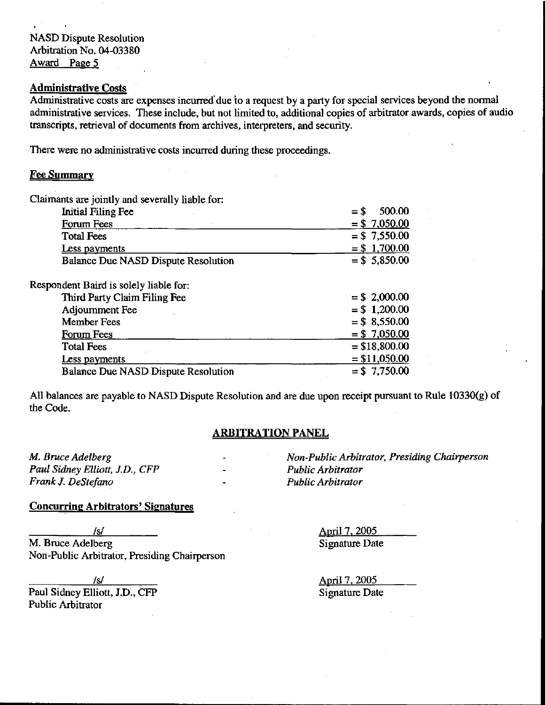## Administrative Costs

Administrative costs are expenses incurred due to a request by a party for special services beyond the normal administrative services. These include, but not limited to, additional copies of arbitrator awards, copies of audio transcripts, retrieval of documents from archives, interpreters, and security.

There were no administrative costs incurred during these proceedings.

### **Fee Summary**

| Claimants are jointly and severally liable for: |                  |
|-------------------------------------------------|------------------|
| <b>Initial Filing Fee</b>                       | 500.00<br>$=$ \$ |
| Forum Fees                                      | $= $7,050.00$    |
| <b>Total Fees</b>                               | $= $7,550.00$    |
| Less payments                                   | $= $1,700.00$    |
| <b>Balance Due NASD Dispute Resolution</b>      | $= $5,850.00$    |
| Respondent Baird is solely liable for:          |                  |
| Third Party Claim Filing Fee                    | $=$ \$ 2,000.00  |
| Adjournment Fee                                 | $= $1,200.00$    |
| <b>Member Fees</b>                              | $= $8,550.00$    |
| <b>Forum Fees</b>                               | $= $7,050.00$    |
| <b>Total Fees</b>                               | $= $18,800.00$   |
| Less payments                                   | $= $11,050.00$   |
| <b>Balance Due NASD Dispute Resolution</b>      | $= $7,750.00$    |

All balances are payable to NASD Dispute Resolution and are due upon receipt pursuant to Rule 10330(g) of the Code.

## ARBITRATION PANEL

Paul Sidney Elliott, J.D., CFP - Public Arbitrator Frank J. DeStefano **- Public Arbitrator** 

M. Bruce Adelberg **M. Bruce Adelberg**  $\sim$  Non-Public Arbitrator, Presiding Chairperson

### Concurring Arbitrators' Signatures

/§/ April 7. 2005 M. Bruce Adelberg Signature Date Non-Public Arbitrator, Presiding Chairperson

Paul Sidney Elliott, J.D., CFP Signature Date Public Arbitrator

\_/s/ April 7, 2QQ5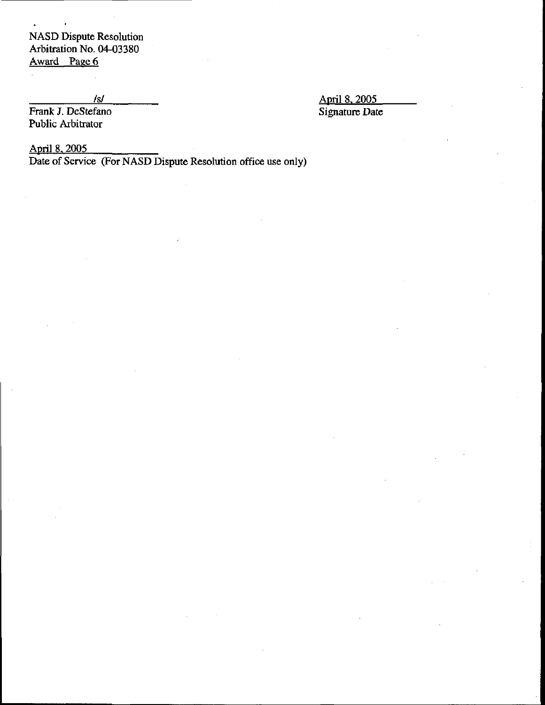Frank J. DeStefano Public Arbitrator

*Isl* April 8, 2005<br> **April 8, 2005**<br> **April 8, 2005**<br> **Signature Date** 

April 8, 2005

 $\blacksquare$ 

Date of Service (For NASD Dispute Resolution office use only)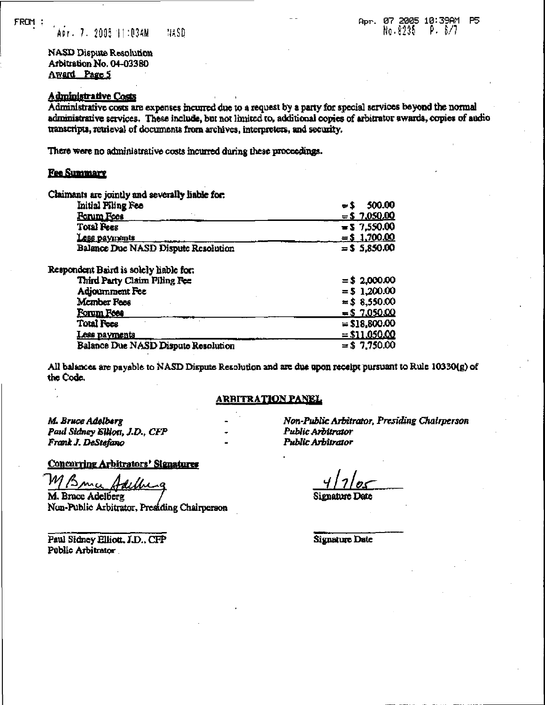HASD Apr. 7. 2005 11:03AM

NASD Dispute Resolution Arbitration No. 04-03380 **Award Page 5** 

# Administrative Costs

Administrative costs are expenses incurred due to a request by a party for special services beyond the normal administrative services. These include, but not limited to, additional copies of arbitrator awards, copies of audio transcripts, retrieval of documents from archives, interpreters, and security.

There were no administrative costs incurred during these proceedings.

### **Fee Summary**

| Claimants are jointly and severally liable for. |                  |
|-------------------------------------------------|------------------|
| Initial Piling Fee                              | 500.00<br>$= 2$  |
| <b>Porum Focs</b>                               | $=$ \$ 7,050.00  |
| <b>Total Pees</b>                               | $= 5 \t7,550.00$ |
| <b>Less payments</b>                            | $=$ \$ 1,700.00  |
| Balance Due NASD Dispute Resolution             | $=$ \$ 5,850.00  |
| Respondent Baird is solely liable for.          |                  |
| Third Party Claim Filing Fee                    | $= $2,000.00$    |
| Adjournment Fee                                 | $= 51.200.00$    |
| Member Fees                                     | $= $8,550.00$    |
| Forum Foes                                      | $= 57.050.00$    |
| <b>Total Fees</b>                               | $= $18,800.00$   |
| <u>Less payments</u>                            | $=$ \$11,050.00  |
| Balance Due NASD Dispute Resolution             | $=$ \$ 7,750.00  |

All balances are payable to NASD Dispute Resolution and are due upon receipt pursuant to Rule 10330(g) of the Code.

#### <u>ARBITRATION PANEL</u>

M. Bruce Adelberg Paul Sidney Elliott, J.D., CFP Frank J. DeStefano

#### Concurring Arbitrators' Signatures

 $\mathcal{B}$  and dethi

M, Bruce Adelberg -Public Arbitrator, Presiding Chairperson

Paul Sidney Elliott, J.D., CFP Public Arbitrator

Non-Public Arbitrator, Presiding Chairperson Public Arbitrator Public Arbitrator

Signature Date

Signature Date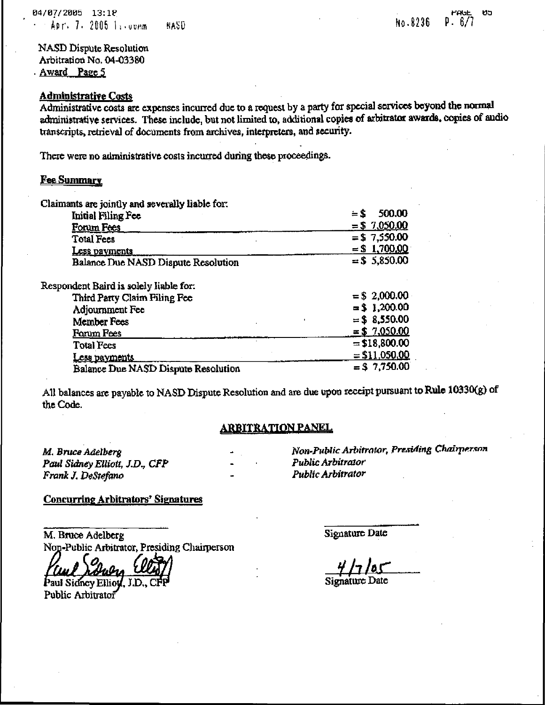### Administrative Costs

Administrative costs arc expenses incurred due to a request by a party for special services beyond the normal administrative services. These include, but not limited to, additional copies of arbitrator awards, copies of audio transcripts, retrieval of documents from archives, interpreters, and security.

There were no administrative costs incurred during these proceedings.

## **Fee Summary**

| Claimants are jointly and severally liable for: |                 |
|-------------------------------------------------|-----------------|
| Initial Filing Fee                              | 500.00<br>$=$ S |
| Forum Fees                                      | $= $7.050.00$   |
| <b>Total Fees</b>                               | $= $7,550.00$   |
| Less payments                                   | $=$ \$ 1,700,00 |
| Balance Due NASD Dispute Resolution             | $=$ \$ 5,850.00 |
| Respondent Baird is solely liable for:          |                 |
| Third Party Claim Filing Fee                    | $= $2,000.00$   |
| Adjournment Fee                                 | $=$ \$ 1,200.00 |
| Member Fees                                     | $=$ \$ 8,550.00 |
| <b>Forum Pees</b>                               | $= $7,050.00$   |
| <b>Total Fees</b>                               | $= $18,800.00$  |
| Less payments                                   | $=$ \$11,050,00 |
| Balance Due NASD Dispute Resolution             | $=$ \$7,750.00  |

All balances arc payable to NASD Dispute Resolution and are due upon receipt pursuant to Rule 10330(g) of the Code.

## <u>ARBITRATION PANEL</u>

M. Bruce Adelberg Paul Sidney Elliott, J.D,, CFP Frank J. DeStefano

Non-Public Arbitrator, Presiding Chairperson Public Arbitrator Public Arbitrator

## Concurring Arbitrators' Signatures

M. Bmce Adelberg Non-Public Arbitrator, Presiding Chairperson

Paul Sidney Elli

Public Arbitrator

Signature Date

## Signature Date

raut

ชว